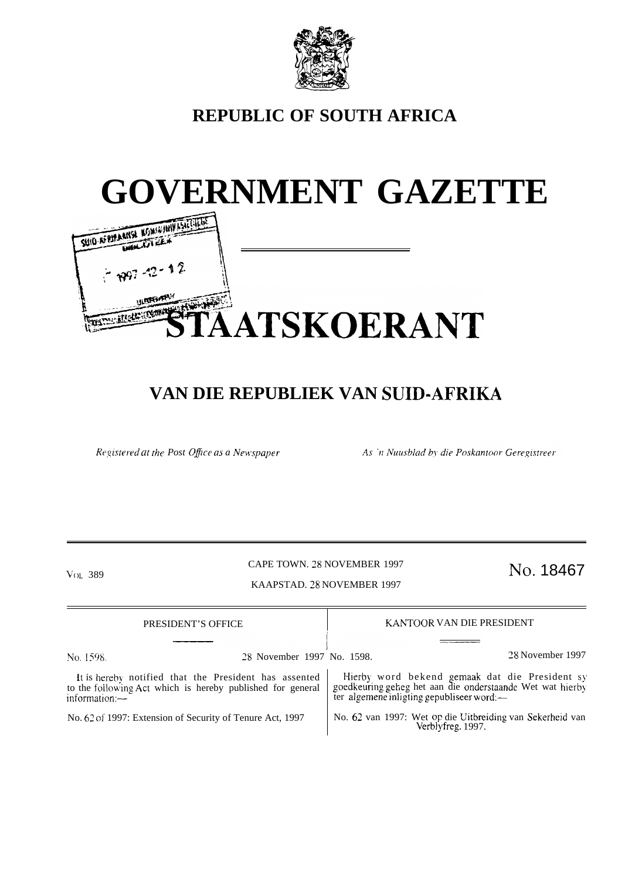

# **REPUBLIC OF SOUTH AFRICA**

# GOVERNMENT GAZETTE

# **VAN DIE REPUBLIEK VAN SUID-AFRIKA**

**FRATSKOERANT** 

*Registered at the Post Office as a Newspaper* 

 $7997 - 12 - 12$ 

As 'n Nuusblad by die Poskantoor Geregistreer

 $\begin{array}{l} \text{CAPE Town. 28 NOVEMBER 1997} \ \text{N}_\text{OL} \text{ } \text{ } 389 \end{array} \ \ \ \text{N}_\text{OL} \text{ } \text{ } 18467$ KAAPSTAD. 28 NOVEMBER 1997

| <b>PRESIDENT'S OFFICE</b>                                                                                                            |                            | KANTOOR VAN DIE PRESIDENT                                                                                                                             |  |
|--------------------------------------------------------------------------------------------------------------------------------------|----------------------------|-------------------------------------------------------------------------------------------------------------------------------------------------------|--|
|                                                                                                                                      |                            |                                                                                                                                                       |  |
| No. 1598.                                                                                                                            | 28 November 1997 No. 1598. | 28 November 1997                                                                                                                                      |  |
| It is hereby notified that the President has assented<br>to the following Act which is hereby published for general<br>information:- |                            | Hierby word bekend gemaak dat die President sy<br>goedkeuring geheg het aan die onderstaande Wet wat hierby ter algemene inligting gepubliseer word:— |  |
| No. 62 of 1997: Extension of Security of Tenure Act, 1997                                                                            |                            | No. 62 van 1997: Wet op die Uitbreiding van Sekerheid van<br>Verblyfreg, 1997.                                                                        |  |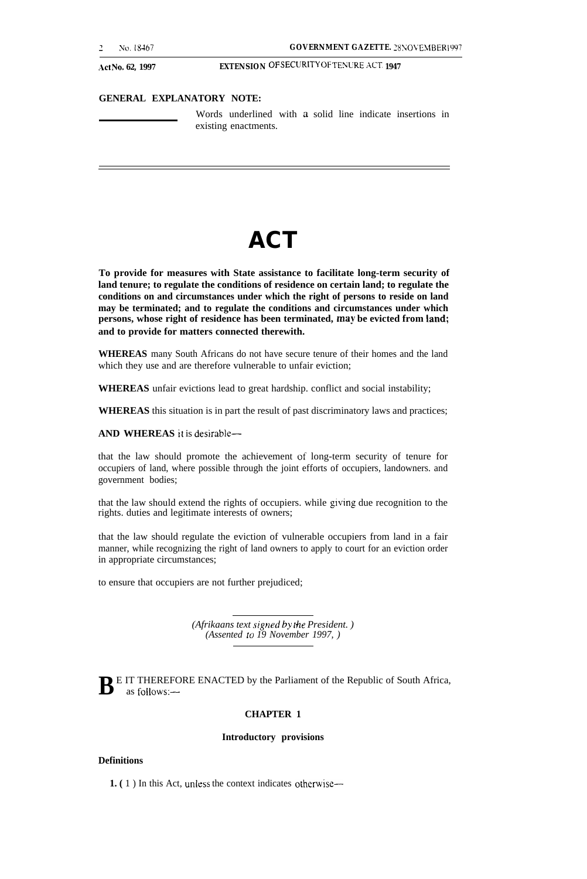.ict **NO. 62, 1997 EXTENSION OF SECLfRITY OF TENCRE,ACT, 1947**

#### **GENERAL EXPLANATORY NOTE:**

Words underlined with a solid line indicate insertions in existing enactments.

# **ACT**

**To provide for measures with State assistance to facilitate long-term security of land tenure; to regulate the conditions of residence on certain land; to regulate the conditions on and circumstances under which the right of persons to reside on land may be terminated; and to regulate the conditions and circumstances under which persons, whose right of residence has been terminated, may be evicted from land; and to provide for matters connected therewith.**

**WHEREAS** many South Africans do not have secure tenure of their homes and the land which they use and are therefore vulnerable to unfair eviction;

**WHEREAS** unfair evictions lead to great hardship. conflict and social instability;

**WHEREAS** this situation is in part the result of past discriminatory laws and practices;

**AND WHEREAS** it is desirable—

that the law should promote the achievement of long-term security of tenure for occupiers of land, where possible through the joint efforts of occupiers, landowners. and government bodies;

that the law should extend the rights of occupiers. while giving due recognition to the rights. duties and legitimate interests of owners;

that the law should regulate the eviction of vulnerable occupiers from land in a fair manner, while recognizing the right of land owners to apply to court for an eviction order in appropriate circumstances;

to ensure that occupiers are not further prejudiced;

*(Afrikaans text signed by the President. ) (Assented to 19 November 1997, )*

**B** E IT THEREFORE ENACTED by the Parliament of the Republic of South Africa, as follows:—

#### **CHAPTER 1**

#### **Introductory provisions**

### **Definitions**

**1. (** 1 ) In this Act, unless the context indicates otherwise—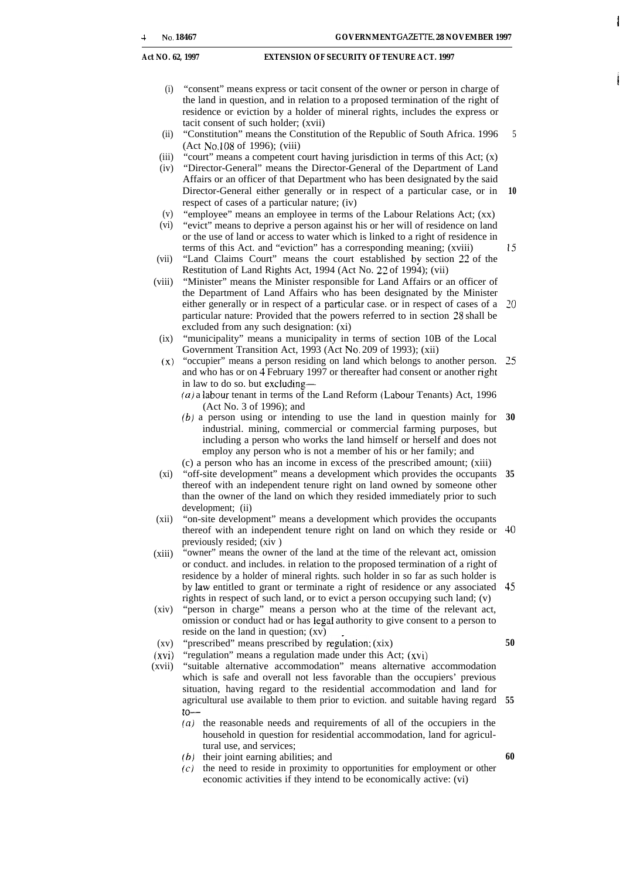I

**Act NO. 62, 1997 EXTENSION OF SECURITY OF TENURE ACT. 1997**

- (i) "consent" means express or tacit consent of the owner or person in charge of the land in question, and in relation to a proposed termination of the right of residence or eviction by a holder of mineral rights, includes the express or tacit consent of such holder; (xvii)
- (ii) "Constitution" means the Constitution of the Republic of South Africa. 1996 (Act **No.** 108 of 1996); (viii) 5
- $(iii)$ "court" means a competent court having jurisdiction in terms of this Act; (x)
- (iv) "Director-General" means the Director-General of the Department of Land Affairs or an officer of that Department who has been designated by the said Director-General either generally or in respect of a particular case, or in respect of cases of a particular nature; (iv) **10**
- $(v)$ "employee" means an employee in terms of the Labour Relations Act; (xx)
- (vi) "evict" means to deprive a person against his or her will of residence on land or the use of land or access to water which is linked to a right of residence in terms of this Act. and "eviction" has a corresponding meaning; (xviii)
- (vii) "Land Claims Court" means the court established by section 22 of the Restitution of Land Rights Act, 1994 (Act No. 22 of 1994); (vii)
- (viii) "Minister" means the Minister responsible for Land Affairs or an officer of the Department of Land Affairs who has been designated by the Minister either generally or in respect of a particular case. or in respect of cases of a particular nature: Provided that the powers referred to in section 28 shall be excluded from any such designation: (xi) **20**
- $(ix)$ "municipality" means a municipality in terms of section 10B of the Local Government Transition Act, 1993 (Act No. 209 of 1993); (xii)
- (x) "occupier" means a person residing on land which belongs to another person. and who has or on 4 February 1997 or thereafter had consent or another right in law to do so. but excluding— 25
	- $(a)$  a labour tenant in terms of the Land Reform (Labour Tenants) Act, 1996 (Act No. 3 of 1996); and
	- (b) a person using or intending to use the land in question mainly for **30** industrial. mining, commercial or commercial farming purposes, but including a person who works the land himself or herself and does not employ any person who is not a member of his or her family; and (c) a person who has an income in excess of the prescribed amount; (xiii)
- (xi) "off-site development" means a development which provides the occupants **35** thereof with an independent tenure right on land owned by someone other than the owner of the land on which they resided immediately prior to such development; (ii)
- (xii) "on-site development" means a development which provides the occupants thereof with an independent tenure right on land on which they reside or **40** previously resided; (xiv )
- $(xiii)$ "owner" means the owner of the land at the time of the relevant act, omission or conduct. and includes. in relation to the proposed termination of a right of residence by a holder of mineral rights. such holder in so far as such holder is by law entitled to grant or terminate a right of residence or any associated **45** rights in respect of such land, or to evict a person occupying such land; (v)
- (xiv) "person in charge" means a person who at the time of the relevant act, omission or conduct had or has legal authority to give consent to a person to reside on the land in question; (xv)
- (xv) "prescribed" means prescribed by regulation; (xix)
- $(xvi)$ "regulation" means a regulation made under this Act; (xvi)
- (xvii) "suitable alternative accommodation" means alternative accommodation which is safe and overall not less favorable than the occupiers' previous situation, having regard to the residential accommodation and land for agricultural use available to them prior to eviction. and suitable having regard to-- **55**
	- (a) the reasonable needs and requirements of all of the occupiers in the household in question for residential accommodation, land for agricultural use, and services;
	- *(b)* their joint earning abilities; and
	- *(c)* the need to reside in proximity to opportunities for employment or other economic activities if they intend to be economically active: (vi)

**50**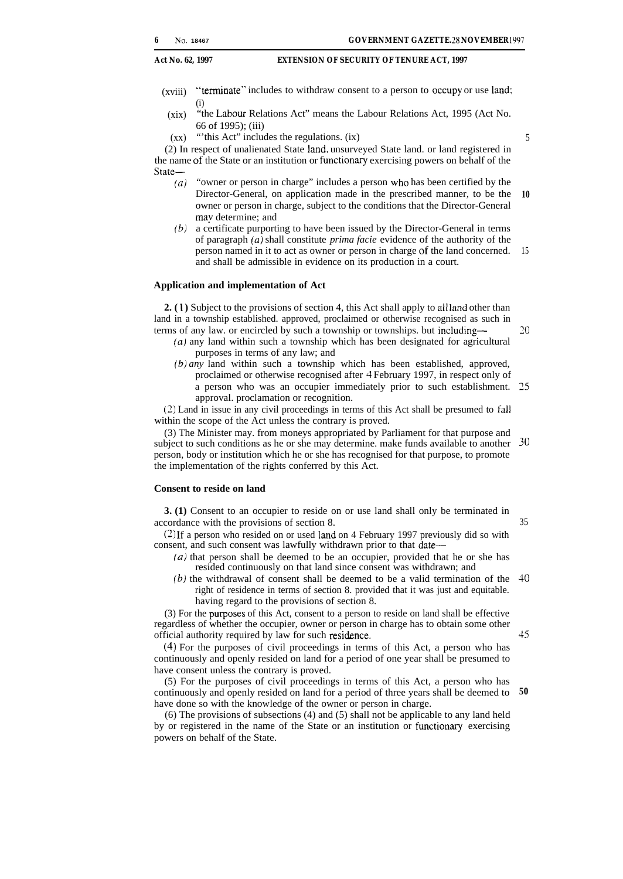#### **Act No. 62, 1997 EXTENSION OF SECURITY OF TENURE ACT, 1997**

- $(xviii)$  "terminate" includes to withdraw consent to a person to occupy or use land; (i)
- (xix) "the Labour Relations Act" means the Labour Relations Act, 1995 (Act No. 66 of 1995); (iii)
- $(xx)$  "this Act" includes the regulations.  $(ix)$

5

20

(2) In respect of unalienated State land, unsurveyed State land. or land registered in the name of the State or an institution or functionary exercising powers on behalf of the State—

- (a) "owner or person in charge" includes a person who has been certified by the Director-General, on application made in the prescribed manner, to be the owner or person in charge, subject to the conditions that the Director-General may determine; and **10**
- *(b)* a certificate purporting to have been issued by the Director-General in terms of paragraph *(a)* shall constitute *prima facie* evidence of the authority of the person named in it to act as owner or person in charge of the land concerned. 15 and shall be admissible in evidence on its production in a court.

#### **Application and implementation of Act**

**2.** (1) Subject to the provisions of section 4, this Act shall apply to all land other than land in a township established. approved, proclaimed or otherwise recognised as such in terms of any law. or encircled by such a township or townships. but including—

- (a) any land within such a township which has been designated for agricultural purposes in terms of any law; and
- *(b) any* land within such a township which has been established, approved, proclaimed or otherwise recognised after 4 February 1997, in respect only of a person who was an occupier immediately prior to such establishment. 25 approval. proclamation or recognition.

(2) Land in issue in any civil proceedings in terms of this Act shall be presumed to fall within the scope of the Act unless the contrary is proved.

(3) The Minister may. from moneys appropriated by Parliament for that purpose and subject to such conditions as he or she may determine. make funds available to another  $30$ person, body or institution which he or she has recognised for that purpose, to promote the implementation of the rights conferred by this Act.

#### **Consent to reside on land**

**3. (1)** Consent to an occupier to reside on or use land shall only be terminated in accordance with the provisions of section 8.

(2) If a person who resided on or used land on 4 February 1997 previously did so with consent, and such consent was lawfully withdrawn prior to that date—

- $(a)$  that person shall be deemed to be an occupier, provided that he or she has resided continuously on that land since consent was withdrawn; and
- *(b)* the withdrawal of consent shall be deemed to be a valid termination of the **40** right of residence in terms of section 8. provided that it was just and equitable. having regard to the provisions of section 8.

(3) For the purposes of this Act, consent to a person to reside on land shall be effective regardless of whether the occupier, owner or person in charge has to obtain some other official authority required by law for such residence.

45

35

(4) For the purposes of civil proceedings in terms of this Act, a person who has continuously and openly resided on land for a period of one year shall be presumed to have consent unless the contrary is proved.

(5) For the purposes of civil proceedings in terms of this Act, a person who has continuously and openly resided on land for a period of three years shall be deemed to **50**have done so with the knowledge of the owner or person in charge.

(6) The provisions of subsections (4) and (5) shall not be applicable to any land held by or registered in the name of the State or an institution or functionary exercising powers on behalf of the State.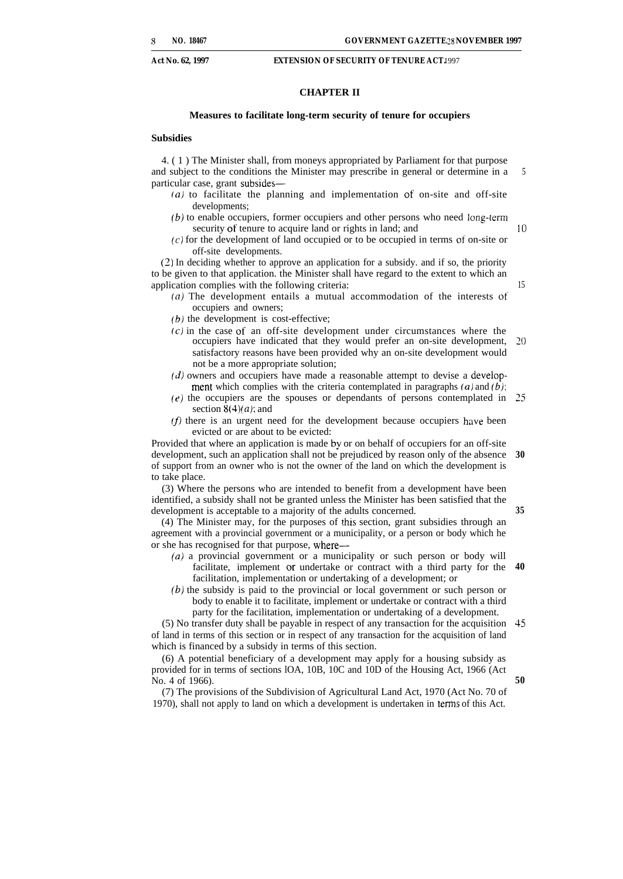#### **Act No. 62, 1997 EXTENSION OF SECURITY OF TENURE ACT**1997

#### **CHAPTER II**

#### **Measures to facilitate long-term security of tenure for occupiers**

#### **Subsidies**

4. ( 1 ) The Minister shall, from moneys appropriated by Parliament for that purpose and subject to the conditions the Minister may prescribe in general or determine in a particular case, grant subsides— 5

- $f(a)$  to facilitate the planning and implementation of on-site and off-site developments;
- (b) to enable occupiers, former occupiers and other persons who need Iong-term security of tenure to acquire land or rights in land; and 10
- (c) for the development of land occupied or to be occupied in terms of on-site or off-site developments.

(2) In deciding whether to approve an application for a subsidy. and if so, the priority to be given to that application. the Minister shall have regard to the extent to which an application complies with the following criteria:

- (a) The development entails a mutual accommodation of the interests of occupiers and owners;
- $(b)$  the development is cost-effective;
- $(c)$  in the case of an off-site development under circumstances where the occupiers have indicated that they would prefer an on-site development, satisfactory reasons have been provided why an on-site development would not be a more appropriate solution; **20**
- $(d)$  owners and occupiers have made a reasonable attempt to devise a development which complies with the criteria contemplated in paragraphs  $(a)$  and  $(b)$ ;
- (e) the occupiers are the spouses or dependants of persons contemplated in section  $8(4)(a)$ ; and 25
- $(f)$  there is an urgent need for the development because occupiers have been evicted or are about to be evicted:

Provided that where an application is made by or on behalf of occupiers for an off-site development, such an application shall not be prejudiced by reason only of the absence of support from an owner who is not the owner of the land on which the development is to take place. **30**

(3) Where the persons who are intended to benefit from a development have been identified, a subsidy shall not be granted unless the Minister has been satisfied that the development is acceptable to a majority of the adults concerned.

(4) The Minister may, for the purposes of this section, grant subsidies through an agreement with a provincial government or a municipality, or a person or body which he or she has recognised for that purpose, where—

- (a) a provincial government or a municipality or such person or body will facilitate, implement or undertake or contract with a third party for the facilitation, implementation or undertaking of a development; or **40**
- (b) the subsidy is paid to the provincial or local government or such person or body to enable it to facilitate, implement or undertake or contract with a third party for the facilitation, implementation or undertaking of a development.

(5) No transfer duty shall be payable in respect of any transaction for the acquisition **45** of land in terms of this section or in respect of any transaction for the acquisition of land which is financed by a subsidy in terms of this section.

(6) A potential beneficiary of a development may apply for a housing subsidy as provided for in terms of sections lOA, 10B, 10C and 10D of the Housing Act, 1966 (Act No. 4 of 1966).

(7) The provisions of the Subdivision of Agricultural Land Act, 1970 (Act No. 70 of 1970), shall not apply to land on which a development is undertaken in terms of this Act.

15

**35**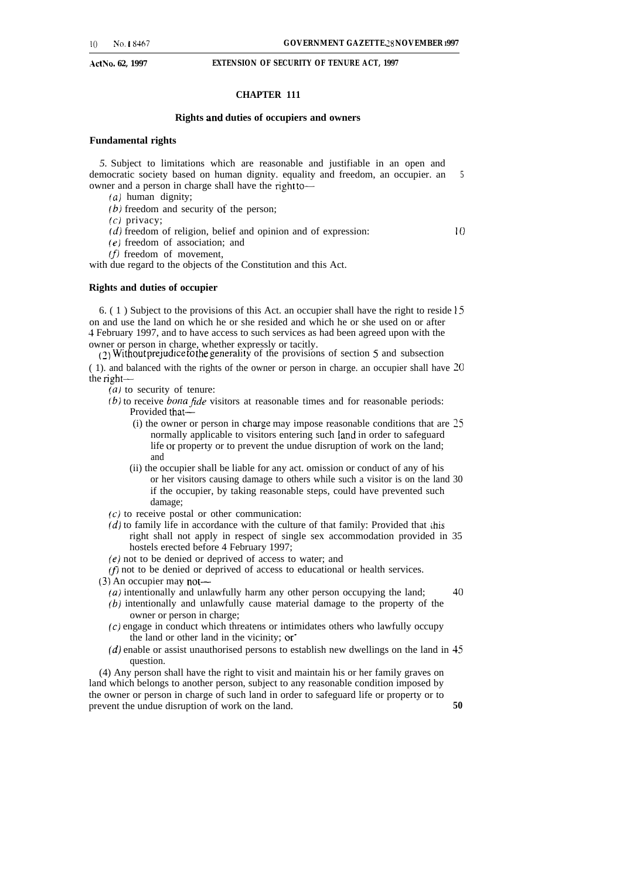#### **.Act NO. 62, 1997 EXTENSION OF SECURITY OF TENURE ACT, 1997**

#### **CHAPTER 111**

#### **Rights and duties of occupiers and owners**

#### **Fundamental rights**

*5.* Subject to limitations which are reasonable and justifiable in an open and democratic society based on human dignity. equality and freedom, an occupier. an owner and a person in charge shall have the right to-5

 $(a)$  human dignity;

(b) freedom and security of the person;

(c) privacy;

 $(d)$  freedom of religion, belief and opinion and of expression:

(e) freedom of association; and

(f) freedom of movement,

with due regard to the objects of the Constitution and this Act.

#### **Rights and duties of occupier**

6. ( 1 ) Subject to the provisions of this Act. an occupier shall have the right to reside 15 on and use the land on which he or she resided and which he or she used on or after 4 February 1997, and to have access to such services as had been agreed upon with the owner or person in charge, whether expressly or tacitly.

 $(2)$  Without prejudice to the generality of the provisions of section 5 and subsection ( 1). and balanced with the rights of the owner or person in charge. an occupier shall have 20 the right—

- $(a)$  to security of tenure:
- $(b)$  to receive *bona fide* visitors at reasonable times and for reasonable periods: Provided that—
	- (i) the owner or person in charge may impose reasonable conditions that are 25 normally applicable to visitors entering such land in order to safeguard life or property or to prevent the undue disruption of work on the land; and
	- (ii) the occupier shall be liable for any act. omission or conduct of any of his or her visitors causing damage to others while such a visitor is on the land 30 if the occupier, by taking reasonable steps, could have prevented such damage;
- $(c)$  to receive postal or other communication:
- $(d)$  to family life in accordance with the culture of that family: Provided that this right shall not apply in respect of single sex accommodation provided in 35 hostels erected before 4 February 1997;
- $(e)$  not to be denied or deprived of access to water; and

 $(f)$  not to be denied or deprived of access to educational or health services.

(3) An occupier may not—

- (a) intentionally and unlawfully harm any other person occupying the land; **40**
- **(b)** intentionally and unlawfully cause material damage to the property of the owner or person in charge;
- $(c)$  engage in conduct which threatens or intimidates others who lawfully occupy the land or other land in the vicinity; or-
- $(d)$  enable or assist unauthorised persons to establish new dwellings on the land in  $45$ question.

(4) Any person shall have the right to visit and maintain his or her family graves on land which belongs to another person, subject to any reasonable condition imposed by the owner or person in charge of such land in order to safeguard life or property or to prevent the undue disruption of work on the land. **50**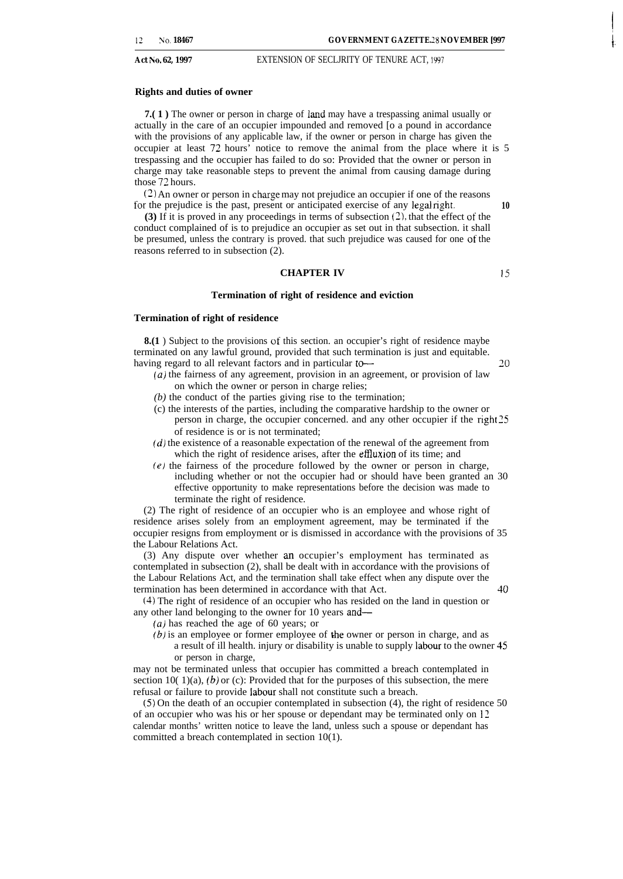**Act NO. 62, 1997** EXTENSION OF SECLJRITY OF TENURE ACT, 1997

#### **Rights and duties of owner**

**7.(1)** The owner or person in charge of land may have a trespassing animal usually or actually in the care of an occupier impounded and removed [o a pound in accordance with the provisions of any applicable law, if the owner or person in charge has given the occupier at least 72 hours' notice to remove the animal from the place where it is 5 trespassing and the occupier has failed to do so: Provided that the owner or person in charge may take reasonable steps to prevent the animal from causing damage during those 72 hours.

(2) An owner or person in charge may not prejudice an occupier if one of the reasons for the prejudice is the past, present or anticipated exercise of any legal right. **10**

**(3)** If it is proved in any proceedings in terms of subsection (2). that the effect of the conduct complained of is to prejudice an occupier as set out in that subsection. it shall be presumed, unless the contrary is proved. that such prejudice was caused for one of the reasons referred to in subsection (2).

#### **CHAPTER IV 15**

#### **Termination of right of residence and eviction**

#### **Termination of right of residence**

**8.(1** ) Subject to the provisions of this section. an occupier's right of residence maybe terminated on any lawful ground, provided that such termination is just and equitable. having regard to all relevant factors and in particular to  $\sim$  **20** 

- *(a)* the fairness of any agreement, provision in an agreement, or provision of law on which the owner or person in charge relies;
- *(b)* the conduct of the parties giving rise to the termination;
- (c) the interests of the parties, including the comparative hardship to the owner or person in charge, the occupier concerned. and any other occupier if the right 25 of residence is or is not terminated;
- $(d)$  the existence of a reasonable expectation of the renewal of the agreement from which the right of residence arises, after the effluxion of its time; and
- $(e)$  the fairness of the procedure followed by the owner or person in charge, including whether or not the occupier had or should have been granted an 30 effective opportunity to make representations before the decision was made to terminate the right of residence.

(2) The right of residence of an occupier who is an employee and whose right of residence arises solely from an employment agreement, may be terminated if the occupier resigns from employment or is dismissed in accordance with the provisions of 35 the Labour Relations Act.

(3) Any dispute over whether an occupier's employment has terminated as contemplated in subsection (2), shall be dealt with in accordance with the provisions of the Labour Relations Act, and the termination shall take effect when any dispute over the termination has been determined in accordance with that Act. **40**

**(4)** The right of residence of an occupier who has resided on the land in question or any other land belonging to the owner for 10 years and—

(a) has reached the age of 60 years; or

- *(b)* is an employee or former employee of the owner or person in charge, and as
	- a result of ill health. injury or disability is unable to supply Iabour to the owner 45 or person in charge,

may not be terminated unless that occupier has committed a breach contemplated in section 10( $1$ )(a), (b) or (c): Provided that for the purposes of this subsection, the mere refusal or failure to provide Iabour shall not constitute such a breach.

(5) On the death of an occupier contemplated in subsection (4), the right of residence 50 of an occupier who was his or her spouse or dependant may be terminated only on 12 calendar months' written notice to leave the land, unless such a spouse or dependant has committed a breach contemplated in section 10(1).

**I i**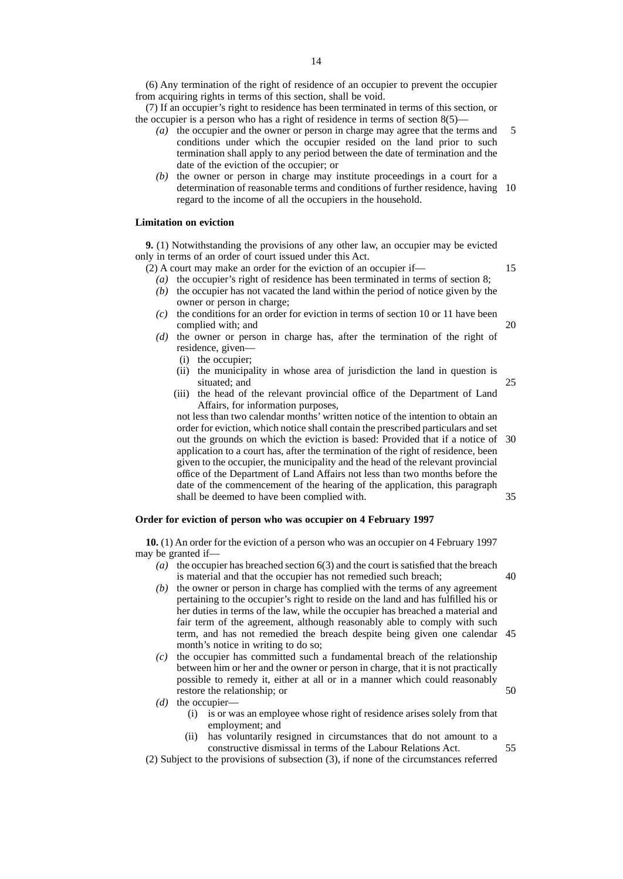(6) Any termination of the right of residence of an occupier to prevent the occupier from acquiring rights in terms of this section, shall be void.

(7) If an occupier's right to residence has been terminated in terms of this section, or the occupier is a person who has a right of residence in terms of section  $8(5)$ —

- *(a)* the occupier and the owner or person in charge may agree that the terms and conditions under which the occupier resided on the land prior to such termination shall apply to any period between the date of termination and the date of the eviction of the occupier; or 5
- *(b)* the owner or person in charge may institute proceedings in a court for a determination of reasonable terms and conditions of further residence, having 10 regard to the income of all the occupiers in the household.

#### **Limitation on eviction**

**9.** (1) Notwithstanding the provisions of any other law, an occupier may be evicted only in terms of an order of court issued under this Act.

- (2) A court may make an order for the eviction of an occupier if—
	- *(a)* the occupier's right of residence has been terminated in terms of section 8;
	- *(b)* the occupier has not vacated the land within the period of notice given by the owner or person in charge;
	- *(c)* the conditions for an order for eviction in terms of section 10 or 11 have been complied with; and
	- *(d)* the owner or person in charge has, after the termination of the right of residence, given—
		- (i) the occupier;
		- (ii) the municipality in whose area of jurisdiction the land in question is situated; and 25
		- (iii) the head of the relevant provincial office of the Department of Land Affairs, for information purposes,

not less than two calendar months' written notice of the intention to obtain an order for eviction, which notice shall contain the prescribed particulars and set out the grounds on which the eviction is based: Provided that if a notice of application to a court has, after the termination of the right of residence, been given to the occupier, the municipality and the head of the relevant provincial office of the Department of Land Affairs not less than two months before the date of the commencement of the hearing of the application, this paragraph shall be deemed to have been complied with. 30 35

#### **Order for eviction of person who was occupier on 4 February 1997**

**10.** (1) An order for the eviction of a person who was an occupier on 4 February 1997 may be granted if—

- *(a)* the occupier has breached section 6(3) and the court is satisfied that the breach is material and that the occupier has not remedied such breach;
- *(b)* the owner or person in charge has complied with the terms of any agreement pertaining to the occupier's right to reside on the land and has fulfilled his or her duties in terms of the law, while the occupier has breached a material and fair term of the agreement, although reasonably able to comply with such term, and has not remedied the breach despite being given one calendar 45 month's notice in writing to do so;
- *(c)* the occupier has committed such a fundamental breach of the relationship between him or her and the owner or person in charge, that it is not practically possible to remedy it, either at all or in a manner which could reasonably restore the relationship; or
- *(d)* the occupier—
	- (i) is or was an employee whose right of residence arises solely from that employment; and
	- (ii) has voluntarily resigned in circumstances that do not amount to a constructive dismissal in terms of the Labour Relations Act.

(2) Subject to the provisions of subsection (3), if none of the circumstances referred

20

15

40

50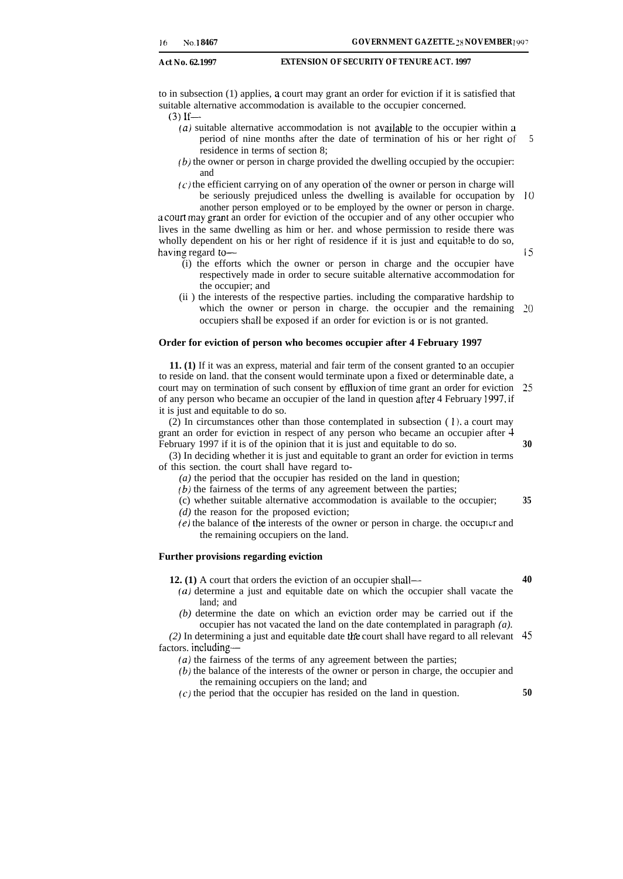**Act No. 62.1997 EXTENSION OF SECURITY OF TENURE ACT. 1997**

to in subsection (1) applies, a court may grant an order for eviction if it is satisfied that suitable alternative accommodation is available to the occupier concerned.  $(3)$  If—

- - *(a)* suitable alternative accommodation is not avaiIable to the occupier within a period of nine months after the date of termination of his or her right of residence in terms of section 8; 5
	- $(b)$  the owner or person in charge provided the dwelling occupied by the occupier: and
	- $(c)$  the efficient carrying on of any operation of the owner or person in charge will be seriously prejudiced unless the dwelling is available for occupation by 10

another person employed or to be employed by the owner or person in charge. a court may grant an order for eviction of the occupier and of any other occupier who lives in the same dwelling as him or her. and whose permission to reside there was wholly dependent on his or her right of residence if it is just and equitable to do so, having regard to—

15

**30**

- (i) the efforts which the owner or person in charge and the occupier have respectively made in order to secure suitable alternative accommodation for the occupier; and
- (ii ) the interests of the respective parties. including the comparative hardship to which the owner or person in charge. the occupier and the remaining 20 occupiers shall be exposed if an order for eviction is or is not granted.

#### **Order for eviction of person who becomes occupier after 4 February 1997**

**11. (1)** If it was an express, material and fair term of the consent granted to an occupier to reside on land. that the consent would terminate upon a fixed or determinable date, a court may on termination of such consent by eftluxion of time grant an order for eviction of any person who became an occupier of the land in question after 4 February 1997, if it is just and equitable to do so. 25

(2) In circumstances other than those contemplated in subsection ( 1). a court may grant an order for eviction in respect of any person who became an occupier after 4 February 1997 if it is of the opinion that it is just and equitable to do so.

(3) In deciding whether it is just and equitable to grant an order for eviction in terms of this section. the court shall have regard to-

- *(a)* the period that the occupier has resided on the land in question;
- $(b)$  the fairness of the terms of any agreement between the parties;
- (c) whether suitable alternative accommodation is available to the occupier; **35**
- *(d)* the reason for the proposed eviction;
- $(e)$  the balance of the interests of the owner or person in charge. the occupier and the remaining occupiers on the land.

#### **Further provisions regarding eviction**

- **12. (1)** A court that orders the eviction of an occupier shall—
	- (a) determine a just and equitable date on which the occupier shall vacate the land; and
	- *(b)* determine the date on which an eviction order may be carried out if the occupier has not vacated the land on the date contemplated in paragraph *(a).*

*(2)* In determining a just and equitable date the court shall have regard to all relevant **45** factors. including—

- *(a)* the fairness of the terms of any agreement between the parties;
- $(b)$  the balance of the interests of the owner or person in charge, the occupier and the remaining occupiers on the land; and
- (c) the period that the occupier has resided on the land in question.

**50**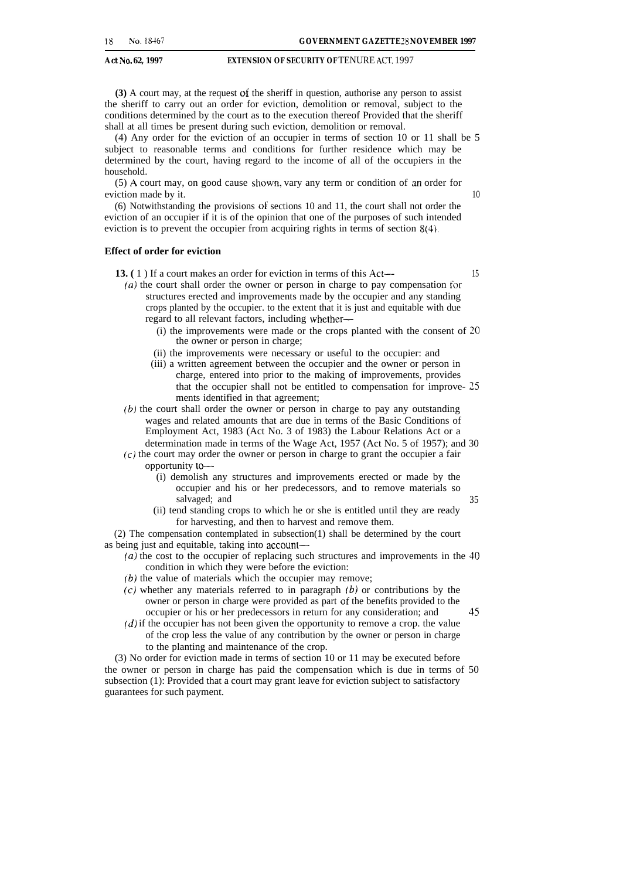#### **Act No. 62, 1997 EXTENSION OF SECURITY OF TENURE ACT. 1997**

**(3)** A court may, at the request of the sheriff in question, authorise any person to assist the sheriff to carry out an order for eviction, demolition or removal, subject to the conditions determined by the court as to the execution thereof Provided that the sheriff shall at all times be present during such eviction, demolition or removal.

(4) Any order for the eviction of an occupier in terms of section 10 or 11 shall be 5 subject to reasonable terms and conditions for further residence which may be determined by the court, having regard to the income of all of the occupiers in the household.

(5) A court may, on good cause showrt, vary any term or condition of an order for eviction made by it. 10

(6) Notwithstanding the provisions of sections 10 and 11, the court shall not order the eviction of an occupier if it is of the opinion that one of the purposes of such intended eviction is to prevent the occupier from acquiring rights in terms of section 8(4).

#### **Effect of order for eviction**

**13.** (1) If a court makes an order for eviction in terms of this Act— 15

- (a) the court shall order the owner or person in charge to pay compensation for structures erected and improvements made by the occupier and any standing crops planted by the occupier. to the extent that it is just and equitable with due regard to all relevant factors, including whether—
	- (i) the improvements were made or the crops planted with the consent of 20 the owner or person in charge;
	- (ii) the improvements were necessary or useful to the occupier: and
	- (iii) a written agreement between the occupier and the owner or person in charge, entered into prior to the making of improvements, provides that the occupier shall not be entitled to compensation for improve- 25 ments identified in that agreement;
- *(b)* the court shall order the owner or person in charge to pay any outstanding wages and related amounts that are due in terms of the Basic Conditions of Employment Act, 1983 (Act No. 3 of 1983) the Labour Relations Act or a determination made in terms of the Wage Act, 1957 (Act No. 5 of 1957); and 30
- $(c)$  the court may order the owner or person in charge to grant the occupier a fair opportunity to-
	- (i) demolish any structures and improvements erected or made by the occupier and his or her predecessors, and to remove materials so salvaged; and 35
	- (ii) tend standing crops to which he or she is entitled until they are ready for harvesting, and then to harvest and remove them.

(2) The compensation contemplated in subsection(1) shall be determined by the court as being just and equitable, taking into account—

*(a)* the cost to the occupier of replacing such structures and improvements in the 40 condition in which they were before the eviction:

- *(b)* the value of materials which the occupier may remove;
- (c) whether any materials referred to in paragraph *(b)* or contributions by the owner or person in charge were provided as part of the benefits provided to the occupier or his or her predecessors in return for any consideration; and 45

(d) if the occupier has not been given the opportunity to remove a crop. the value of the crop less the value of any contribution by the owner or person in charge to the planting and maintenance of the crop.

(3) No order for eviction made in terms of section 10 or 11 may be executed before the owner or person in charge has paid the compensation which is due in terms of 50 subsection (1): Provided that a court may grant leave for eviction subject to satisfactory guarantees for such payment.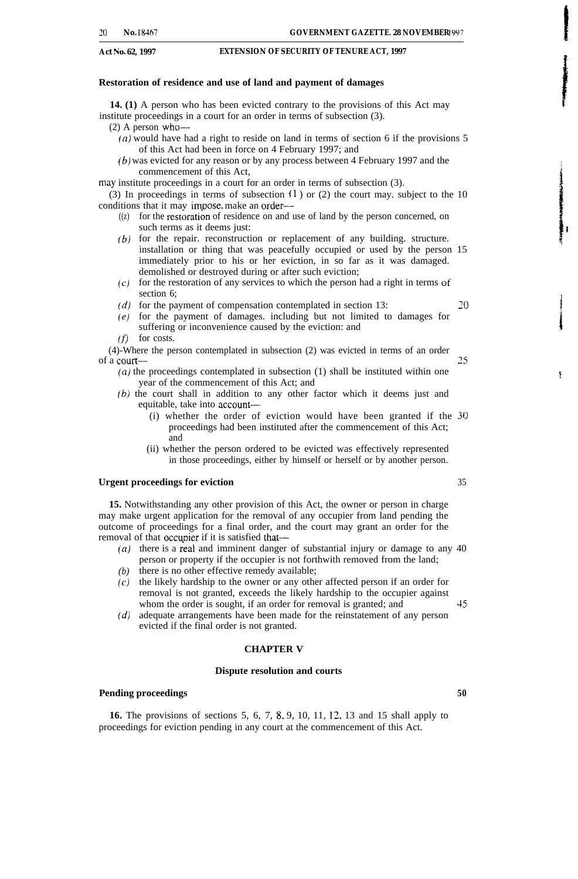#### **Act NO. 62, 1997 EXTENSION OF SECURITY OF TENURE ACT, 1997**

#### **Restoration of residence and use of land and payment of damages**

**14. (1)** A person who has been evicted contrary to the provisions of this Act may institute proceedings in a court for an order in terms of subsection (3).

(2) A person who—

(a) would have had a right to reside on land in terms of section 6 if the provisions 5 of this Act had been in force on 4 February 1997; and

*(b)* was evicted for any reason or by any process between 4 February 1997 and the commencement of this Act,

may institute proceedings in a court for an order in terms of subsection (3).

(3) In proceedings in terms of subsection  $(1)$  or  $(2)$  the court may. subject to the 10 conditions that it may impose, make an order-

- $(2)$  for the restoration of residence on and use of land by the person concerned, on such terms as it deems just:
- *(b)* for the repair. reconstruction or replacement of any building. structure. installation or thing that was peacefully occupied or used by the person 15 immediately prior to his or her eviction, in so far as it was damaged. demolished or destroyed during or after such eviction;
- *(c)* for the restoration of any services to which the person had a right in terms of section 6;
- *(d)* for the payment of compensation contemplated in section 13: 20
- *(e)* for the payment of damages. including but not limited to damages for suffering or inconvenience caused by the eviction: and
- *(f)* for costs.

(4)-Where the person contemplated in subsection (2) was evicted in terms of an order of a court— $\sim$  25

- $(a)$  the proceedings contemplated in subsection (1) shall be instituted within one year of the commencement of this Act; and
- *(b)* the court shall in addition to any other factor which it deems just and equitable, take into account—
	- (i) whether the order of eviction would have been granted if the 30 proceedings had been instituted after the commencement of this Act; and
	- (ii) whether the person ordered to be evicted was effectively represented in those proceedings, either by himself or herself or by another person.

#### **Urgent proceedings for eviction**

**15.** Notwithstanding any other provision of this Act, the owner or person in charge may make urgent application for the removal of any occupier from land pending the outcome of proceedings for a final order, and the court may grant an order for the removal of that occupier if it is satisfied that—

- (a) there is a real and imminent danger of substantial injury or damage to any  $40$ person or property if the occupier is not forthwith removed from the land;
- *(b)* there is no other effective remedy available;
- *(c)* the likely hardship to the owner or any other affected person if an order for removal is not granted, exceeds the likely hardship to the occupier against whom the order is sought, if an order for removal is granted; and 45
- *(d)* adequate arrangements have been made for the reinstatement of any person evicted if the final order is not granted.

#### **CHAPTER V**

#### **Dispute resolution and courts**

### **Pending proceedings 50**

**16.** The provisions of sections 5, 6, 7, 8, 9, 10, 11, 12, 13 and 15 shall apply to proceedings for eviction pending in any court at the commencement of this Act.

Ť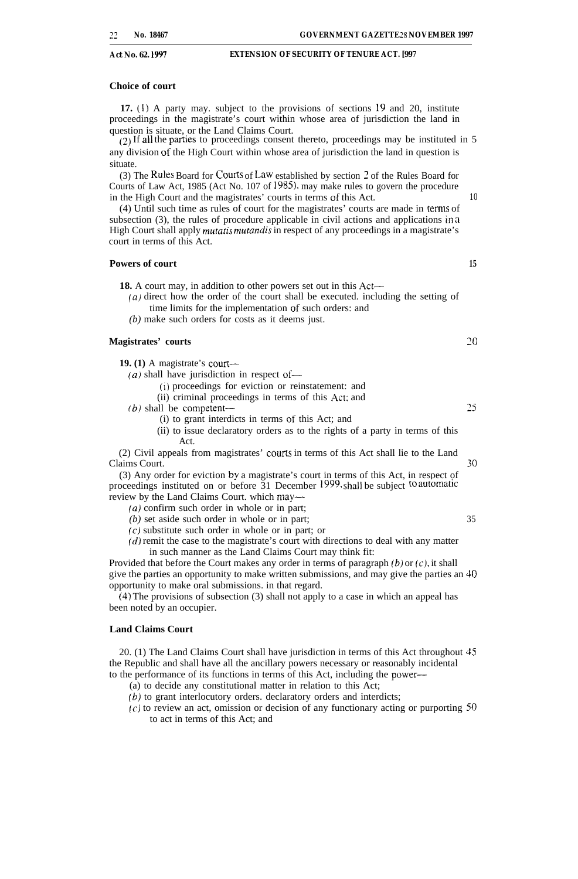#### Act No. 62. 1997 **EXTENS1ON OF SECURITY OF TENURE ACT.** [997

#### **Choice of court**

**17. (1)** A party may. subject to the provisions of sections 19 and 20, institute proceedings in the magistrate's court within whose area of jurisdiction the land in question is situate, or the Land Claims Court.

 $(2)$  If all the parties to proceedings consent thereto, proceedings may be instituted in 5 any division of the High Court within whose area of jurisdiction the land in question is situate.

(3) The **Rules** Board for Courts of Law established by section 2 of the Rules Board for Courts of Law Act, 1985 (Act No. 107 of 1985), may make rules to govern the procedure in the High Court and the magistrates' courts in terms of this Act. 10

(4) Until such time as rules of court for the magistrates' courts are made in temls of subsection (3), the rules of procedure applicable in civil actions and applications in a High Court shall apply *mutatis mutandis* in respect of any proceedings in a magistrate's court in terms of this Act.

#### **Powers of court 15**

**18.** A court may, in addition to other powers set out in this Act—

- (a) direct how the order of the court shall be executed. including the setting of time limits for the implementation of such orders: and
- *(b)* make such orders for costs as it deems just.

#### **Magistrates' courts 20**

**19. (1)** A magistrate's court—

 $(a)$  shall have jurisdiction in respect of—

(i) proceedings for eviction or reinstatement: and

(ii) criminal proceedings in terms of this Act: and

*(b)* shall be competent— 25

- (i) to grant interdicts in terms of this Act; and
- (ii) to issue declaratory orders as to the rights of a party in terms of this Act.

(2) Civil appeals from magistrates' courts in terms of this Act shall lie to the Land Claims Court. 30

(3) Any order for eviction by a magistrate's court in terms of this Act, in respect of proceedings instituted on or before 31 December <sup>1999</sup> shall be subject <sup>to automatic</sup> review by the Land Claims Court. which may-—

 $(a)$  confirm such order in whole or in part;

*(b)* set aside such order in whole or in part; 35

(c) substitute such order in whole or in part; or

 $(d)$  remit the case to the magistrate's court with directions to deal with any matter in such manner as the Land Claims Court may think fit:

Provided that before the Court makes any order in terms of paragraph *(b)* or (c), it shall give the parties an opportunity to make written submissions, and may give the parties an 40 opportunity to make oral submissions. in that regard.

(4) The provisions of subsection (3) shall not apply to a case in which an appeal has been noted by an occupier.

#### **Land Claims Court**

20. (1) The Land Claims Court shall have jurisdiction in terms of this Act throughout 45 the Republic and shall have all the ancillary powers necessary or reasonably incidental to the performance of its functions in terms of this Act, including the power—

(a) to decide any constitutional matter in relation to this Act;

*(b)* to grant interlocutory orders. declaratory orders and interdicts;

 $(c)$  to review an act, omission or decision of any functionary acting or purporting 50 to act in terms of this Act; and

- 
-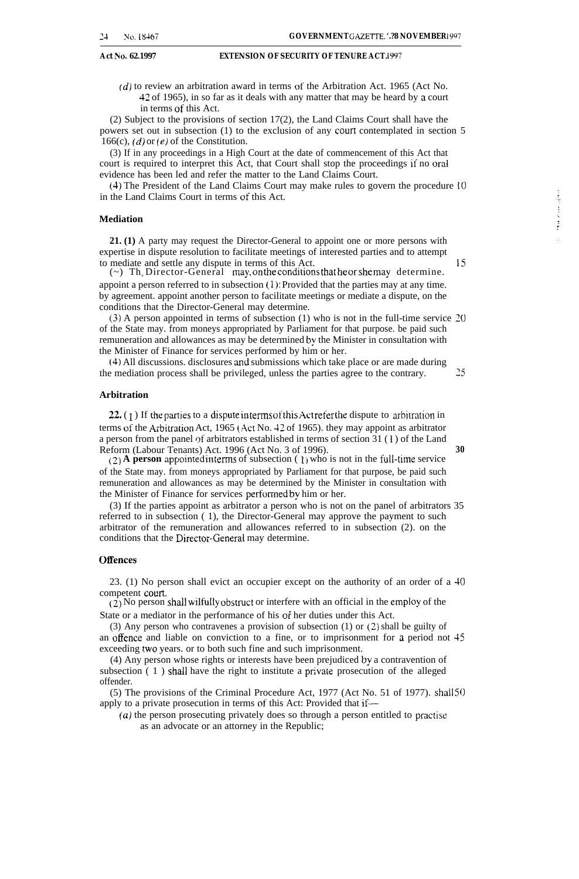#### **Act No. 62.1997 EXTENSION OF SECURITY OF TENURE ACT.** 1997

 $(d)$  to review an arbitration award in terms of the Arbitration Act. 1965 (Act No. 42 of 1965), in so far as it deals with any matter that may be heard by a court in terms of this Act.

(2) Subject to the provisions of section 17(2), the Land Claims Court shall have the powers set out in subsection (1) to the exclusion of any court contemplated in section 5 166(c),  $(d)$  or  $(e)$  of the Constitution.

(3) If in any proceedings in a High Court at the date of commencement of this Act that court is required to interpret this Act, that Court shall stop the proceedings if no oral evidence has been led and refer the matter to the Land Claims Court.

(4) The President of the Land Claims Court may make rules to govern the procedure 10 in the Land Claims Court in terms of this Act.

#### **Mediation**

**21. (1)** A party may request the Director-General to appoint one or more persons with expertise in dispute resolution to facilitate meetings of interested parties and to attempt to mediate and settle any dispute in terms of this Act.

 $(\sim)$  Th. Director-General may, on the conditions that he or shemay determine. appoint a person referred to in subsection (1): Provided that the parties may at any time. by agreement. appoint another person to facilitate meetings or mediate a dispute, on the conditions that the Director-General may determine.

(3) A person appointed in terms of subsection (1) who is not in the full-time service 20 of the State may. from moneys appropriated by Parliament for that purpose. be paid such remuneration and allowances as may be determined by the Minister in consultation with the Minister of Finance for services performed by him or her.

(4) All discussions. disclosures md submissions which take place or are made during the mediation process shall be privileged, unless the parties agree to the contrary. 25

#### **Arbitration**

 $22. (1)$  If the parties to a dispute interms of this Act refer the dispute to arbitration in terms of the Arbitration Act, 1965 (Act No. 42 of 1965). they may appoint as arbitrator a person from the panel of arbitrators established in terms of section 31  $(1)$  of the Land Reform (Labour Tenants) Act. 1996 (Act No. 3 of 1996). **30**

 $(2)$  **A person** appointed in terms of subsection (1) who is not in the full-time service of the State may. from moneys appropriated by Parliament for that purpose, be paid such remuneration and allowances as may be determined by the Minister in consultation with the Minister of Finance for services petformed by him or her.

(3) If the parties appoint as arbitrator a person who is not on the panel of arbitrators 35 referred to in subsection ( 1), the Director-General may approve the payment to such arbitrator of the remuneration and allowances referred to in subsection (2). on the conditions that the Director-General may determine.

#### **Offences**

23. (1) No person shall evict an occupier except on the authority of an order of a 40 competent court.

 $(2)$  No person shall wilfully obstruct or interfere with an official in the employ of the State or a mediator in the performance of his of her duties under this Act.

(3) Any person who contravenes a provision of subsection (1) or (2) shall be guilty of an offence and liable on conviction to a fine, or to imprisonment for a period not 45 exceeding two years. or to both such fine and such imprisonment.

(4) Any person whose rights or interests have been prejudiced by a contravention of subsection  $(1)$  shall have the right to institute a private prosecution of the alleged offender.

(5) The provisions of the Criminal Procedure Act, 1977 (Act No. 51 of 1977). shail 50 apply to a private prosecution in terms of this Act: Provided that if—

*(a)* the person prosecuting privately does so through a person entitled to practise as an advocate or an attorney in the Republic;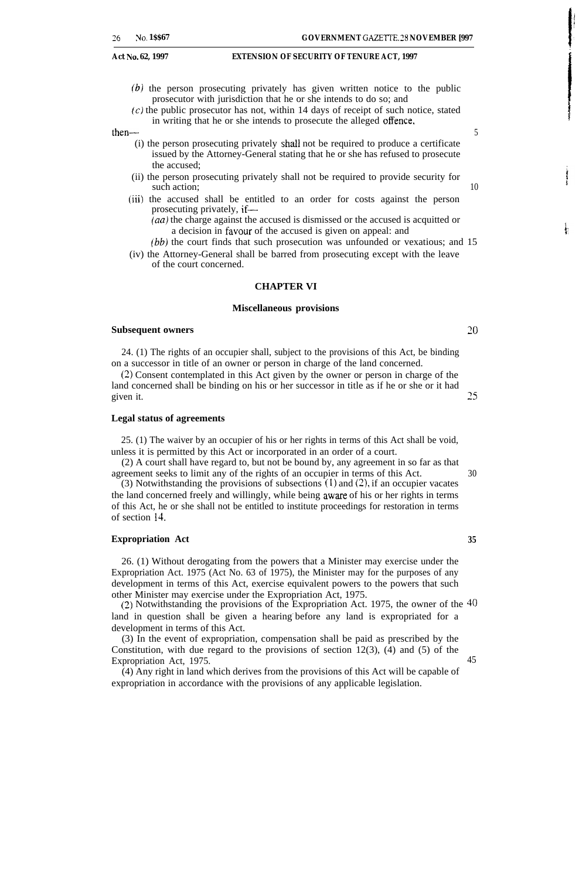# **Act No. 62, 1997 EXTENSION OF SECURITY OF TENURE ACT, 1997 1;.]**

- (b) the person prosecuting privately has given written notice to the public prosecutor with jurisdiction that he or she intends to do so; and
- $(c)$  the public prosecutor has not, within 14 days of receipt of such notice, stated in writing that he or she intends to prosecute the alleged offence,

 $then$   $\longrightarrow$  5

- (i) the person prosecuting privately shall not be required to produce a certificate issued by the Attorney-General stating that he or she has refused to prosecute the accused;
- (ii) the person prosecuting privately shall not be required to provide security for such action; 10
- (iii) the accused shall be entitled to an order for costs against the person prosecuting privately, if—
	- *(aa)* the charge against the accused is dismissed or the accused is acquitted or a decision in favour of the accused is given on appeal: and
- *(bb)* the court finds that such prosecution was unfounded or vexatious; and 15 (iv) the Attorney-General shall be barred from prosecuting except with the leave
- of the court concerned.

#### **CHAPTER VI**

#### **Miscellaneous provisions**

#### **Subsequent owners 20**

24. (1) The rights of an occupier shall, subject to the provisions of this Act, be binding on a successor in title of an owner or person in charge of the land concerned.

(2) Consent contemplated in this Act given by the owner or person in charge of the land concerned shall be binding on his or her successor in title as if he or she or it had given it.  $25$ 

#### **Legal status of agreements**

25. (1) The waiver by an occupier of his or her rights in terms of this Act shall be void, unless it is permitted by this Act or incorporated in an order of a court.

(2) A court shall have regard to, but not be bound by, any agreement in so far as that agreement seeks to limit any of the rights of an occupier in terms of this Act.

(3) Notwithstanding the provisions of subsections  $(1)$  and  $(2)$ , if an occupier vacates the land concerned freely and willingly, while being aware of his or her rights in terms of this Act, he or she shall not be entitled to institute proceedings for restoration in terms of section 14.

#### **Expropriation Act 35**

26. (1) Without derogating from the powers that a Minister may exercise under the Expropriation Act. 1975 (Act No. 63 of 1975), the Minister may for the purposes of any development in terms of this Act, exercise equivalent powers to the powers that such other Minister may exercise under the Expropriation Act, 1975.

(2) Notwithstanding the provisions of the Expropriation Act. 1975, the owner of the  $40$ land in question shall be given a hearing before any land is expropriated for a development in terms of this Act.

(3) In the event of expropriation, compensation shall be paid as prescribed by the Constitution, with due regard to the provisions of section  $12(3)$ ,  $(4)$  and  $(5)$  of the Expropriation Act, 1975.

(4) Any right in land which derives from the provisions of this Act will be capable of expropriation in accordance with the provisions of any applicable legislation.

30

ł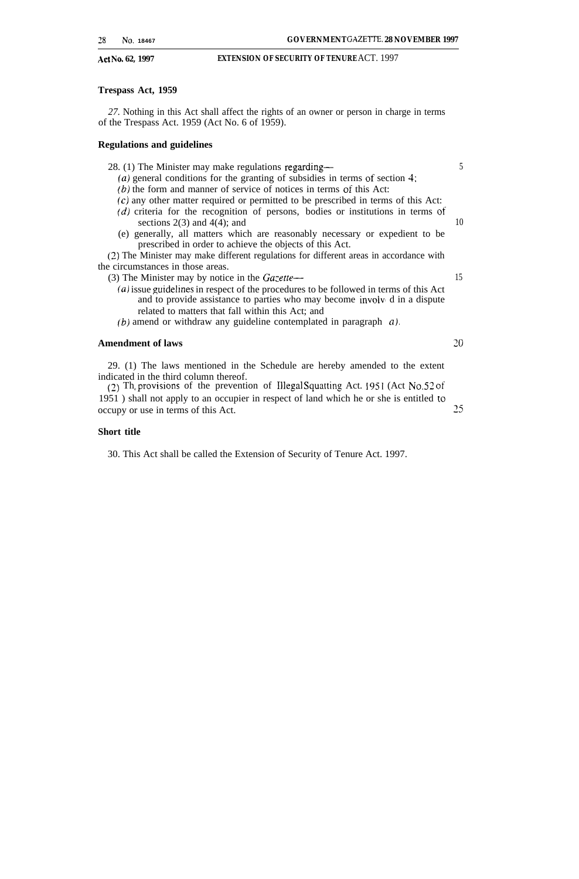#### **Act NO. 62, 1997 EXTENSION OF SECURITY OF TENURE** ACT. 1997

#### **Trespass Act, 1959**

*27.* Nothing in this Act shall affect the rights of an owner or person in charge in terms of the Trespass Act. 1959 (Act No. 6 of 1959).

#### **Regulations and guidelines**

28. (1) The Minister may make regulations regarding— 5

- (a) general conditions for the granting of subsidies in terms of section 4;
- $(b)$  the form and manner of service of notices in terms of this Act:
- (c) any other matter required or permitted to be prescribed in terms of this Act:
- (d) criteria for the recognition of persons, bodies or institutions in terms of sections  $2(3)$  and  $4(4)$ ; and 10
- (e) generally, all matters which are reasonably necessary or expedient to be prescribed in order to achieve the objects of this Act.

(2) The Minister may make different regulations for different areas in accordance with the circumstances in those areas.

(3) The Minister may by notice in the *Ga:erte—* 15

- $(a)$  issue guidelines in respect of the procedures to be followed in terms of this Act and to provide assistance to parties who may become involv d in a dispute related to matters that fall within this Act; and
- (b) amend or withdraw any guideline contemplated in paragraph  $a$ ).

#### **Amendment of laws**

29. (1) The laws mentioned in the Schedule are hereby amended to the extent indicated in the third column thereof.

(2) Th<sub>e</sub> provisions of the prevention of Illegal Squatting Act. 1951 (Act No.52 of 1951 ) shall not apply to an occupier in respect of land which he or she is entitled to occupy or use in terms of this Act. 25

#### **Short title**

30. This Act shall be called the Extension of Security of Tenure Act. 1997.